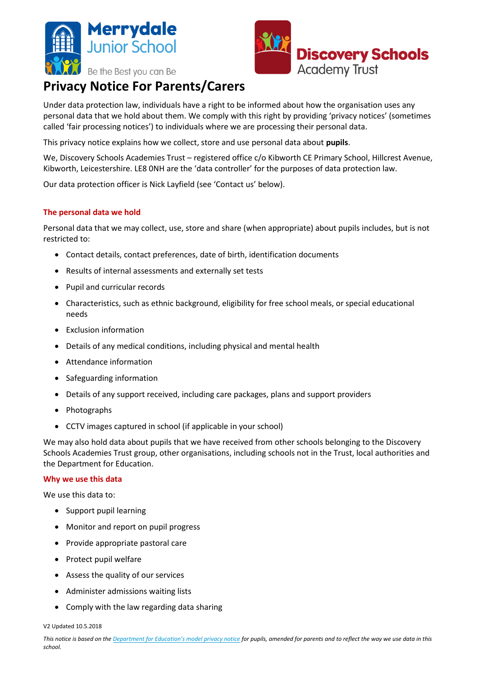



# **Privacy Notice For Parents/Carers**

Under data protection law, individuals have a right to be informed about how the organisation uses any personal data that we hold about them. We comply with this right by providing 'privacy notices' (sometimes called 'fair processing notices') to individuals where we are processing their personal data.

This privacy notice explains how we collect, store and use personal data about **pupils**.

We, Discovery Schools Academies Trust – registered office c/o Kibworth CE Primary School, Hillcrest Avenue, Kibworth, Leicestershire. LE8 0NH are the 'data controller' for the purposes of data protection law.

Our data protection officer is Nick Layfield (see 'Contact us' below).

# **The personal data we hold**

Personal data that we may collect, use, store and share (when appropriate) about pupils includes, but is not restricted to:

- Contact details, contact preferences, date of birth, identification documents
- Results of internal assessments and externally set tests
- Pupil and curricular records
- Characteristics, such as ethnic background, eligibility for free school meals, or special educational needs
- Exclusion information
- Details of any medical conditions, including physical and mental health
- Attendance information
- Safeguarding information
- Details of any support received, including care packages, plans and support providers
- Photographs
- CCTV images captured in school (if applicable in your school)

We may also hold data about pupils that we have received from other schools belonging to the Discovery Schools Academies Trust group, other organisations, including schools not in the Trust, local authorities and the Department for Education.

#### **Why we use this data**

We use this data to:

- Support pupil learning
- Monitor and report on pupil progress
- Provide appropriate pastoral care
- Protect pupil welfare
- Assess the quality of our services
- Administer admissions waiting lists
- Comply with the law regarding data sharing

V2 Updated 10.5.2018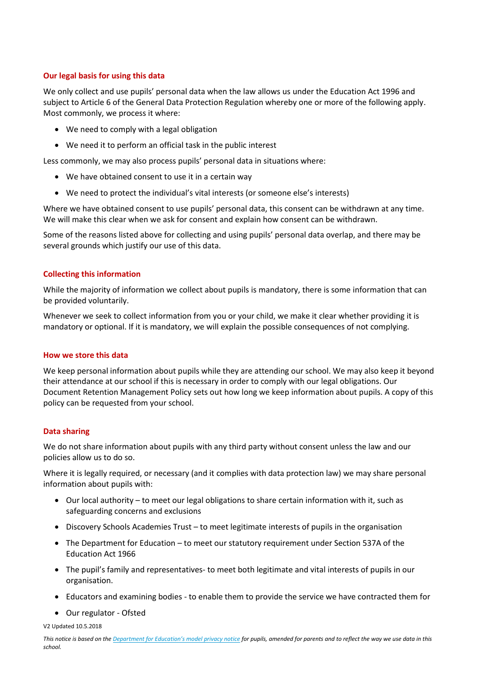# **Our legal basis for using this data**

We only collect and use pupils' personal data when the law allows us under the Education Act 1996 and subject to Article 6 of the General Data Protection Regulation whereby one or more of the following apply. Most commonly, we process it where:

- We need to comply with a legal obligation
- We need it to perform an official task in the public interest

Less commonly, we may also process pupils' personal data in situations where:

- We have obtained consent to use it in a certain way
- We need to protect the individual's vital interests (or someone else's interests)

Where we have obtained consent to use pupils' personal data, this consent can be withdrawn at any time. We will make this clear when we ask for consent and explain how consent can be withdrawn.

Some of the reasons listed above for collecting and using pupils' personal data overlap, and there may be several grounds which justify our use of this data.

## **Collecting this information**

While the majority of information we collect about pupils is mandatory, there is some information that can be provided voluntarily.

Whenever we seek to collect information from you or your child, we make it clear whether providing it is mandatory or optional. If it is mandatory, we will explain the possible consequences of not complying.

## **How we store this data**

We keep personal information about pupils while they are attending our school. We may also keep it beyond their attendance at our school if this is necessary in order to comply with our legal obligations. Our Document Retention Management Policy sets out how long we keep information about pupils. A copy of this policy can be requested from your school.

## **Data sharing**

We do not share information about pupils with any third party without consent unless the law and our policies allow us to do so.

Where it is legally required, or necessary (and it complies with data protection law) we may share personal information about pupils with:

- Our local authority to meet our legal obligations to share certain information with it, such as safeguarding concerns and exclusions
- Discovery Schools Academies Trust to meet legitimate interests of pupils in the organisation
- The Department for Education to meet our statutory requirement under Section 537A of the Education Act 1966
- The pupil's family and representatives- to meet both legitimate and vital interests of pupils in our organisation.
- Educators and examining bodies to enable them to provide the service we have contracted them for
- Our regulator Ofsted

V2 Updated 10.5.2018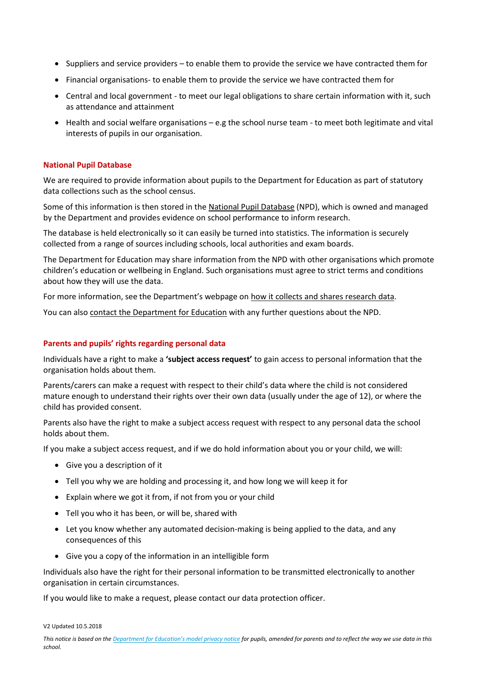- Suppliers and service providers to enable them to provide the service we have contracted them for
- Financial organisations- to enable them to provide the service we have contracted them for
- Central and local government to meet our legal obligations to share certain information with it, such as attendance and attainment
- Health and social welfare organisations e.g the school nurse team to meet both legitimate and vital interests of pupils in our organisation.

#### **National Pupil Database**

We are required to provide information about pupils to the Department for Education as part of statutory data collections such as the school census.

Some of this information is then stored in the [National Pupil Database](https://www.gov.uk/government/publications/national-pupil-database-user-guide-and-supporting-information) (NPD), which is owned and managed by the Department and provides evidence on school performance to inform research.

The database is held electronically so it can easily be turned into statistics. The information is securely collected from a range of sources including schools, local authorities and exam boards.

The Department for Education may share information from the NPD with other organisations which promote children's education or wellbeing in England. Such organisations must agree to strict terms and conditions about how they will use the data.

For more information, see the Department's webpage on [how it collects and shares research data.](https://www.gov.uk/data-protection-how-we-collect-and-share-research-data)

You can also [contact the Department for Education](https://www.gov.uk/contact-dfe) with any further questions about the NPD.

#### **Parents and pupils' rights regarding personal data**

Individuals have a right to make a **'subject access request'** to gain access to personal information that the organisation holds about them.

Parents/carers can make a request with respect to their child's data where the child is not considered mature enough to understand their rights over their own data (usually under the age of 12), or where the child has provided consent.

Parents also have the right to make a subject access request with respect to any personal data the school holds about them.

If you make a subject access request, and if we do hold information about you or your child, we will:

- Give you a description of it
- Tell you why we are holding and processing it, and how long we will keep it for
- Explain where we got it from, if not from you or your child
- Tell you who it has been, or will be, shared with
- Let you know whether any automated decision-making is being applied to the data, and any consequences of this
- Give you a copy of the information in an intelligible form

Individuals also have the right for their personal information to be transmitted electronically to another organisation in certain circumstances.

If you would like to make a request, please contact our data protection officer.

V2 Updated 10.5.2018

*This notice is based on the [Department for Education's model privacy notice](https://www.gov.uk/government/publications/data-protection-and-privacy-privacy-notices) for pupils, amended for parents and to reflect the way we use data in this school.*